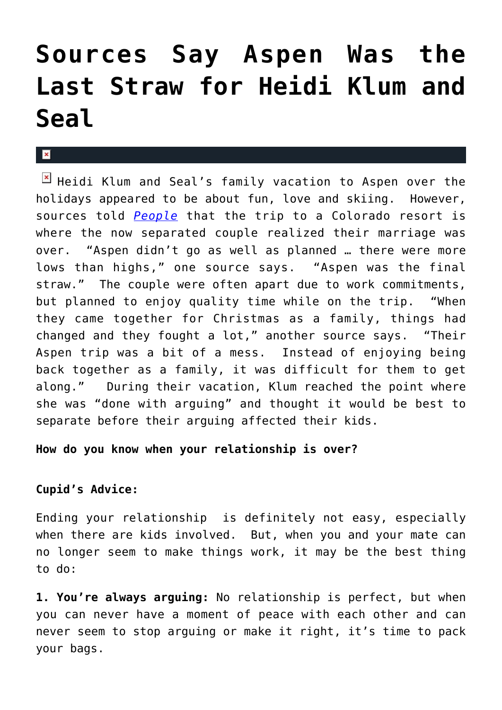## **[Sources Say Aspen Was the](https://cupidspulse.com/26053/aspen-last-straw-heidi-klum-project-rubway-supermodel-seal-soul-singer-divorce-split/) [Last Straw for Heidi Klum and](https://cupidspulse.com/26053/aspen-last-straw-heidi-klum-project-rubway-supermodel-seal-soul-singer-divorce-split/) [Seal](https://cupidspulse.com/26053/aspen-last-straw-heidi-klum-project-rubway-supermodel-seal-soul-singer-divorce-split/)**

 $\mathbb{F}$  Heidi Klum and Seal's family vacation to Aspen over the holidays appeared to be about fun, love and skiing. However, sources told *[People](http://www.people.com/people/article/0,,20564245,00.html)* that the trip to a Colorado resort is where the now separated couple realized their marriage was over. "Aspen didn't go as well as planned … there were more lows than highs," one source says. "Aspen was the final straw." The couple were often apart due to work commitments, but planned to enjoy quality time while on the trip. "When they came together for Christmas as a family, things had changed and they fought a lot," another source says. "Their Aspen trip was a bit of a mess. Instead of enjoying being back together as a family, it was difficult for them to get along." During their vacation, Klum reached the point where she was "done with arguing" and thought it would be best to separate before their arguing affected their kids.

## **How do you know when your relationship is over?**

## **Cupid's Advice:**

Ending your relationship is definitely not easy, especially when there are kids involved. But, when you and your mate can no longer seem to make things work, it may be the best thing to do:

**1. You're always arguing:** No relationship is perfect, but when you can never have a moment of peace with each other and can never seem to stop arguing or make it right, it's time to pack your bags.